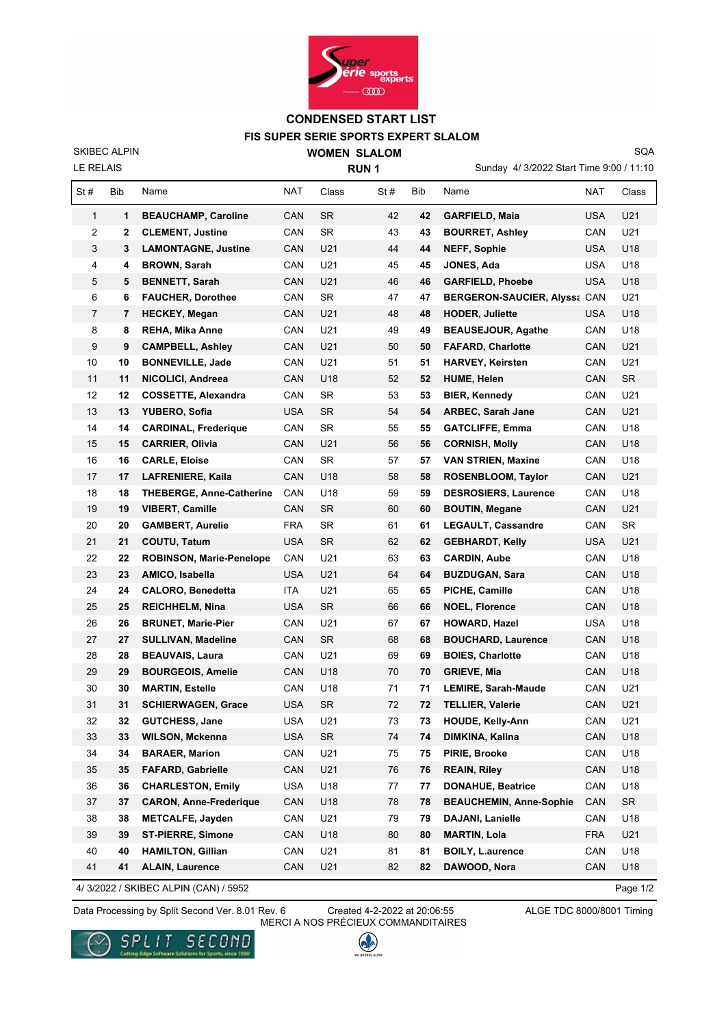

## **FIS SUPER SERIE SPORTS EXPERT SLALOM CONDENSED START LIST**

LE RELAIS SKIBEC ALPIN **WOMEN SLALOM RUN 1**

Sunday 4/ 3/2022 Start Time 9:00 / 11:10

SQA

| St# | Bib | Name                            | <b>NAT</b> | Class     | St# | Bib | Name                                | <b>NAT</b> | Class     |
|-----|-----|---------------------------------|------------|-----------|-----|-----|-------------------------------------|------------|-----------|
| 1   | 1   | <b>BEAUCHAMP, Caroline</b>      | CAN        | <b>SR</b> | 42  | 42  | <b>GARFIELD, Maia</b>               | USA        | U21       |
| 2   | 2   | <b>CLEMENT, Justine</b>         | CAN        | SR        | 43  | 43  | <b>BOURRET, Ashley</b>              | CAN        | U21       |
| 3   | 3   | <b>LAMONTAGNE, Justine</b>      | CAN        | U21       | 44  | 44  | <b>NEFF, Sophie</b>                 | USA        | U18       |
| 4   | 4   | <b>BROWN, Sarah</b>             | CAN        | U21       | 45  | 45  | JONES, Ada                          | <b>USA</b> | U18       |
| 5   | 5   | <b>BENNETT, Sarah</b>           | CAN        | U21       | 46  | 46  | <b>GARFIELD, Phoebe</b>             | USA        | U18       |
| 6   | 6   | <b>FAUCHER, Dorothee</b>        | CAN        | <b>SR</b> | 47  | 47  | <b>BERGERON-SAUCIER, Alyss: CAN</b> |            | U21       |
| 7   | 7   | <b>HECKEY, Megan</b>            | CAN        | U21       | 48  | 48  | <b>HODER, Juliette</b>              | USA        | U18       |
| 8   | 8   | <b>REHA, Mika Anne</b>          | CAN        | U21       | 49  | 49  | <b>BEAUSEJOUR, Agathe</b>           | CAN        | U18       |
| 9   | 9   | <b>CAMPBELL, Ashley</b>         | CAN        | U21       | 50  | 50  | <b>FAFARD, Charlotte</b>            | CAN        | U21       |
| 10  | 10  | <b>BONNEVILLE, Jade</b>         | CAN        | U21       | 51  | 51  | <b>HARVEY, Keirsten</b>             | CAN        | U21       |
| 11  | 11  | NICOLICI, Andreea               | CAN        | U18       | 52  | 52  | <b>HUME, Helen</b>                  | CAN        | <b>SR</b> |
| 12  | 12  | <b>COSSETTE, Alexandra</b>      | CAN        | <b>SR</b> | 53  | 53  | <b>BIER, Kennedy</b>                | CAN        | U21       |
| 13  | 13  | YUBERO, Sofia                   | <b>USA</b> | <b>SR</b> | 54  | 54  | <b>ARBEC, Sarah Jane</b>            | CAN        | U21       |
| 14  | 14  | <b>CARDINAL, Frederique</b>     | CAN        | SR        | 55  | 55  | <b>GATCLIFFE, Emma</b>              | CAN        | U18       |
| 15  | 15  | <b>CARRIER, Olivia</b>          | CAN        | U21       | 56  | 56  | <b>CORNISH, Molly</b>               | CAN        | U18       |
| 16  | 16  | <b>CARLE, Eloise</b>            | CAN        | <b>SR</b> | 57  | 57  | <b>VAN STRIEN, Maxine</b>           | CAN        | U18       |
| 17  | 17  | <b>LAFRENIERE, Kaila</b>        | <b>CAN</b> | U18       | 58  | 58  | ROSENBLOOM, Taylor                  | CAN        | U21       |
| 18  | 18  | <b>THEBERGE, Anne-Catherine</b> | CAN        | U18       | 59  | 59  | <b>DESROSIERS, Laurence</b>         | CAN        | U18       |
| 19  | 19  | <b>VIBERT, Camille</b>          | CAN        | <b>SR</b> | 60  | 60  | <b>BOUTIN, Megane</b>               | CAN        | U21       |
| 20  | 20  | <b>GAMBERT, Aurelie</b>         | <b>FRA</b> | SR        | 61  | 61  | <b>LEGAULT, Cassandre</b>           | CAN        | SR        |
| 21  | 21  | COUTU, Tatum                    | <b>USA</b> | <b>SR</b> | 62  | 62  | <b>GEBHARDT, Kelly</b>              | USA        | U21       |
| 22  | 22  | <b>ROBINSON, Marie-Penelope</b> | CAN        | U21       | 63  | 63  | <b>CARDIN, Aube</b>                 | CAN        | U18       |
| 23  | 23  | AMICO, Isabella                 | <b>USA</b> | U21       | 64  | 64  | <b>BUZDUGAN, Sara</b>               | CAN        | U18       |
| 24  | 24  | <b>CALORO, Benedetta</b>        | ITA        | U21       | 65  | 65  | PICHE, Camille                      | CAN        | U18       |
| 25  | 25  | <b>REICHHELM, Nina</b>          | USA        | <b>SR</b> | 66  | 66  | <b>NOEL, Florence</b>               | CAN        | U18       |
| 26  | 26  | <b>BRUNET, Marie-Pier</b>       | CAN        | U21       | 67  | 67  | <b>HOWARD, Hazel</b>                | <b>USA</b> | U18       |
| 27  | 27  | <b>SULLIVAN, Madeline</b>       | CAN        | <b>SR</b> | 68  | 68  | <b>BOUCHARD, Laurence</b>           | CAN        | U18       |
| 28  | 28  | <b>BEAUVAIS, Laura</b>          | CAN        | U21       | 69  | 69  | <b>BOIES, Charlotte</b>             | CAN        | U18       |
| 29  | 29  | <b>BOURGEOIS, Amelie</b>        | CAN        | U18       | 70  | 70  | <b>GRIEVE, Mia</b>                  | CAN        | U18       |
| 30  | 30  | <b>MARTIN, Estelle</b>          | CAN        | U18       | 71  | 71  | <b>LEMIRE, Sarah-Maude</b>          | CAN        | U21       |
| 31  | 31  | <b>SCHIERWAGEN, Grace</b>       | <b>USA</b> | <b>SR</b> | 72  | 72  | <b>TELLIER, Valerie</b>             | CAN        | U21       |
| 32  | 32  | <b>GUTCHESS, Jane</b>           | <b>USA</b> | U21       | 73  | 73  | <b>HOUDE, Kelly-Ann</b>             | CAN        | U21       |
| 33  | 33  | WILSON, Mckenna                 | <b>USA</b> | SR        | 74  | 74  | DIMKINA, Kalina                     | CAN        | U18       |
| 34  | 34  | <b>BARAER, Marion</b>           | CAN        | U21       | 75  | 75  | PIRIE, Brooke                       | CAN        | U18       |
| 35  | 35  | <b>FAFARD, Gabrielle</b>        | CAN        | U21       | 76  | 76  | <b>REAIN, Riley</b>                 | CAN        | U18       |
| 36  | 36  | <b>CHARLESTON, Emily</b>        | <b>USA</b> | U18       | 77  | 77  | <b>DONAHUE, Beatrice</b>            | CAN        | U18       |
| 37  | 37  | <b>CARON, Anne-Frederique</b>   | CAN        | U18       | 78  | 78  | <b>BEAUCHEMIN, Anne-Sophie</b>      | CAN        | SR        |
| 38  | 38  | <b>METCALFE, Jayden</b>         | CAN        | U21       | 79  | 79  | <b>DAJANI, Lanielle</b>             | CAN        | U18       |
| 39  | 39  | <b>ST-PIERRE, Simone</b>        | CAN        | U18       | 80  | 80  | <b>MARTIN, Lola</b>                 | <b>FRA</b> | U21       |
| 40  | 40  | <b>HAMILTON, Gillian</b>        | CAN        | U21       | 81  | 81  | <b>BOILY, L.aurence</b>             | CAN        | U18       |
| 41  | 41  | <b>ALAIN, Laurence</b>          | CAN        | U21       | 82  | 82  | DAWOOD, Nora                        | CAN        | U18       |

4/ 3/2022 / SKIBEC ALPIN (CAN) / 5952

Page 1/2

Data Processing by Split Second Ver. 8.01 Rev. 6 Created 4-2-2022 at 20:06:55 ALGE TDC 8000/8001 Timing

SPLIT SECOND

a for Sports, since 1990

Created 4-2-2022 at 20:06:55 MERCI A NOS PRÉCIEUX COMMANDITAIRES